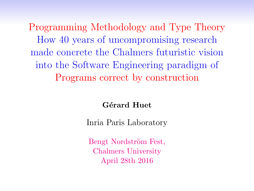Programming Methodology and Type Theory How 40 years of uncompromising research made concrete the Chalmers futuristic vision into the Software Engineering paradigm of Programs correct by construction

Gérard Huet

Inria Paris Laboratory

Bengt Nordström Fest, Chalmers University April 28th 2016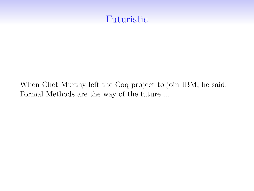## Futuristic

When Chet Murthy left the Coq project to join IBM, he said: Formal Methods are the way of the future ...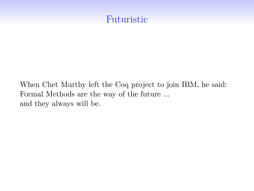## Futuristic

When Chet Murthy left the Coq project to join IBM, he said: Formal Methods are the way of the future ... and they always will be.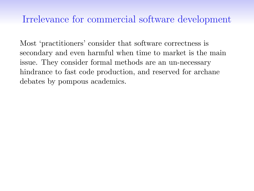Most 'practitioners' consider that software correctness is secondary and even harmful when time to market is the main issue. They consider formal methods are an un-necessary hindrance to fast code production, and reserved for archane debates by pompous academics.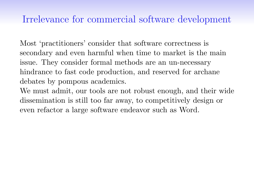Most 'practitioners' consider that software correctness is secondary and even harmful when time to market is the main issue. They consider formal methods are an un-necessary hindrance to fast code production, and reserved for archane debates by pompous academics.

We must admit, our tools are not robust enough, and their wide dissemination is still too far away, to competitively design or even refactor a large software endeavor such as Word.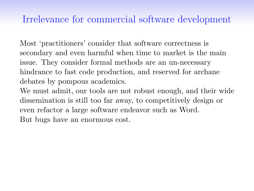Most 'practitioners' consider that software correctness is secondary and even harmful when time to market is the main issue. They consider formal methods are an un-necessary hindrance to fast code production, and reserved for archane debates by pompous academics.

We must admit, our tools are not robust enough, and their wide dissemination is still too far away, to competitively design or even refactor a large software endeavor such as Word. But bugs have an enormous cost.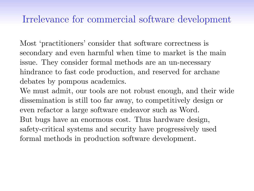Most 'practitioners' consider that software correctness is secondary and even harmful when time to market is the main issue. They consider formal methods are an un-necessary hindrance to fast code production, and reserved for archane debates by pompous academics.

We must admit, our tools are not robust enough, and their wide dissemination is still too far away, to competitively design or even refactor a large software endeavor such as Word. But bugs have an enormous cost. Thus hardware design, safety-critical systems and security have progressively used formal methods in production software development.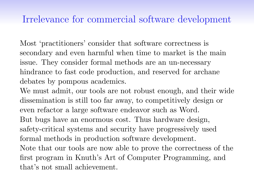Most 'practitioners' consider that software correctness is secondary and even harmful when time to market is the main issue. They consider formal methods are an un-necessary hindrance to fast code production, and reserved for archane debates by pompous academics.

We must admit, our tools are not robust enough, and their wide dissemination is still too far away, to competitively design or even refactor a large software endeavor such as Word. But bugs have an enormous cost. Thus hardware design, safety-critical systems and security have progressively used formal methods in production software development. Note that our tools are now able to prove the correctness of the first program in Knuth's Art of Computer Programming, and that's not small achievement.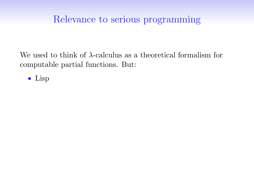We used to think of  $\lambda$ -calculus as a theoretical formalism for computable partial functions. But:

• Lisp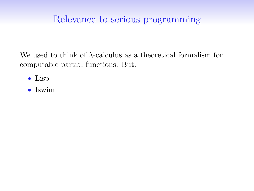- Lisp
- Iswim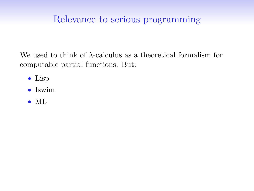- Lisp
- Iswim
- ML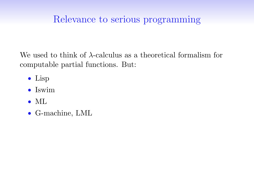- Lisp
- Iswim
- ML
- G-machine, LML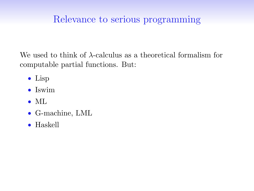- Lisp
- Iswim
- ML
- G-machine, LML
- Haskell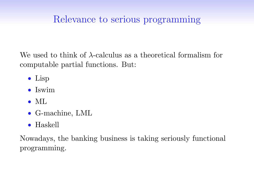We used to think of  $\lambda$ -calculus as a theoretical formalism for computable partial functions. But:

- Lisp
- Iswim
- ML
- G-machine, LML
- Haskell

Nowadays, the banking business is taking seriously functional programming.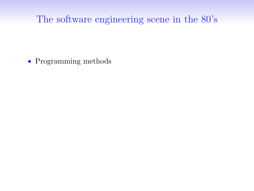• Programming methods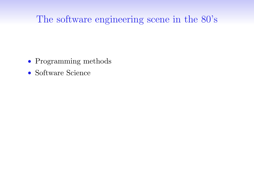- Programming methods
- Software Science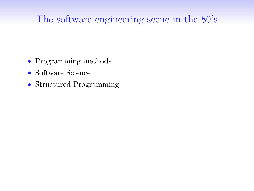- Programming methods
- Software Science
- Structured Programming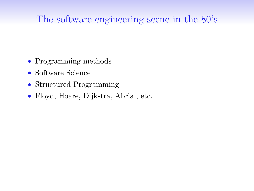- Programming methods
- Software Science
- Structured Programming
- Floyd, Hoare, Dijkstra, Abrial, etc.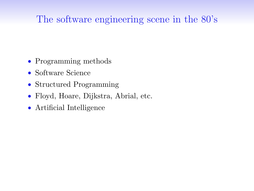- Programming methods
- Software Science
- Structured Programming
- Floyd, Hoare, Dijkstra, Abrial, etc.
- Artificial Intelligence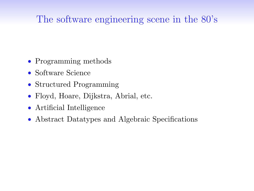- Programming methods
- Software Science
- Structured Programming
- Floyd, Hoare, Dijkstra, Abrial, etc.
- Artificial Intelligence
- Abstract Datatypes and Algebraic Specifications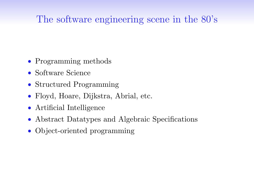- Programming methods
- Software Science
- Structured Programming
- Floyd, Hoare, Dijkstra, Abrial, etc.
- Artificial Intelligence
- Abstract Datatypes and Algebraic Specifications
- Object-oriented programming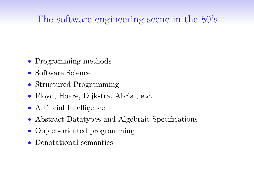- Programming methods
- Software Science
- Structured Programming
- Floyd, Hoare, Dijkstra, Abrial, etc.
- Artificial Intelligence
- Abstract Datatypes and Algebraic Specifications
- Object-oriented programming
- Denotational semantics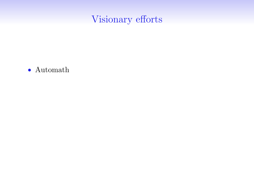• Automath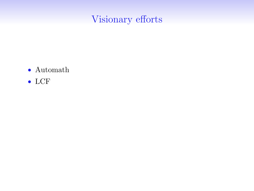- Automath
- LCF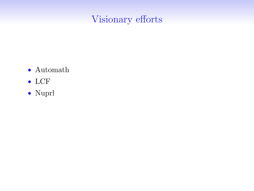- Automath
- LCF
- Nuprl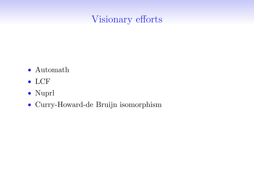- Automath
- LCF
- Nuprl
- Curry-Howard-de Bruijn isomorphism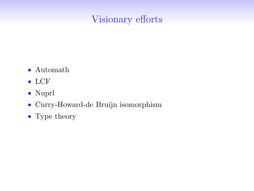- Automath
- LCF
- Nuprl
- Curry-Howard-de Bruijn isomorphism
- Type theory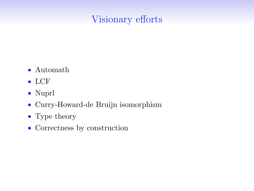- Automath
- LCF
- Nuprl
- Curry-Howard-de Bruijn isomorphism
- Type theory
- Correctness by construction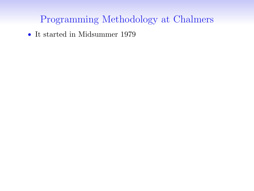• It started in Midsummer 1979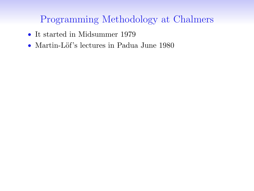- It started in Midsummer 1979
- Martin-Löf's lectures in Padua June 1980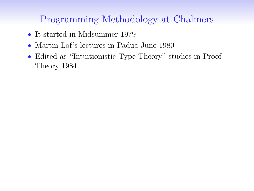- It started in Midsummer 1979
- Martin-Löf's lectures in Padua June 1980
- Edited as "Intuitionistic Type Theory" studies in Proof Theory 1984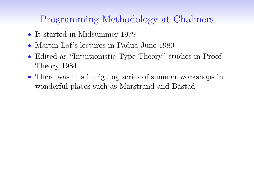- It started in Midsummer 1979
- Martin-Löf's lectures in Padua June 1980
- Edited as "Intuitionistic Type Theory" studies in Proof Theory 1984
- There was this intriguing series of summer workshops in wonderful places such as Marstrand and Båstad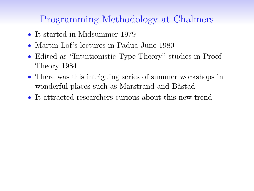- It started in Midsummer 1979
- Martin-Löf's lectures in Padua June 1980
- Edited as "Intuitionistic Type Theory" studies in Proof Theory 1984
- There was this intriguing series of summer workshops in wonderful places such as Marstrand and Båstad
- It attracted researchers curious about this new trend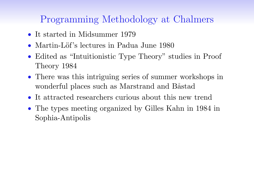- It started in Midsummer 1979
- Martin-Löf's lectures in Padua June 1980
- Edited as "Intuitionistic Type Theory" studies in Proof Theory 1984
- There was this intriguing series of summer workshops in wonderful places such as Marstrand and Båstad
- It attracted researchers curious about this new trend
- The types meeting organized by Gilles Kahn in 1984 in Sophia-Antipolis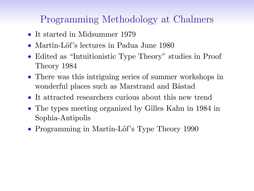- It started in Midsummer 1979
- Martin-Löf's lectures in Padua June 1980
- Edited as "Intuitionistic Type Theory" studies in Proof Theory 1984
- There was this intriguing series of summer workshops in wonderful places such as Marstrand and Båstad
- It attracted researchers curious about this new trend
- The types meeting organized by Gilles Kahn in 1984 in Sophia-Antipolis
- Programming in Martin-Löf's Type Theory 1990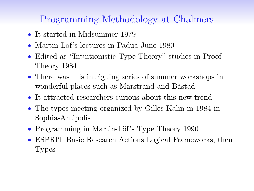- It started in Midsummer 1979
- Martin-Löf's lectures in Padua June 1980
- Edited as "Intuitionistic Type Theory" studies in Proof Theory 1984
- There was this intriguing series of summer workshops in wonderful places such as Marstrand and Båstad
- It attracted researchers curious about this new trend
- The types meeting organized by Gilles Kahn in 1984 in Sophia-Antipolis
- Programming in Martin-Löf's Type Theory 1990
- ESPRIT Basic Research Actions Logical Frameworks, then Types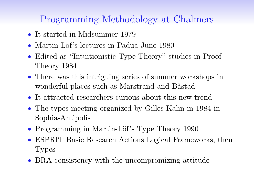- It started in Midsummer 1979
- Martin-Löf's lectures in Padua June 1980
- Edited as "Intuitionistic Type Theory" studies in Proof Theory 1984
- There was this intriguing series of summer workshops in wonderful places such as Marstrand and Båstad
- It attracted researchers curious about this new trend
- The types meeting organized by Gilles Kahn in 1984 in Sophia-Antipolis
- Programming in Martin-Löf's Type Theory 1990
- ESPRIT Basic Research Actions Logical Frameworks, then Types
- BRA consistency with the uncompromizing attitude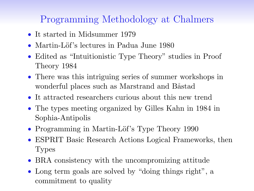- It started in Midsummer 1979
- Martin-Löf's lectures in Padua June 1980
- Edited as "Intuitionistic Type Theory" studies in Proof Theory 1984
- There was this intriguing series of summer workshops in wonderful places such as Marstrand and Båstad
- It attracted researchers curious about this new trend
- The types meeting organized by Gilles Kahn in 1984 in Sophia-Antipolis
- Programming in Martin-Löf's Type Theory 1990
- ESPRIT Basic Research Actions Logical Frameworks, then Types
- BRA consistency with the uncompromizing attitude
- Long term goals are solved by "doing things right", a commitment to quality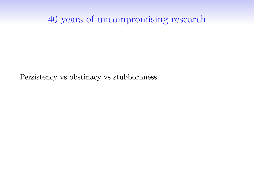Persistency vs obstinacy vs stubbornness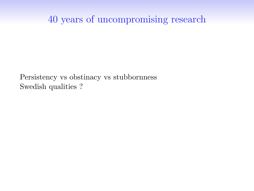Persistency vs obstinacy vs stubbornness Swedish qualities ?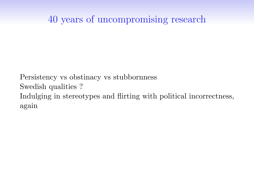Persistency vs obstinacy vs stubbornness Swedish qualities ? Indulging in stereotypes and flirting with political incorrectness, again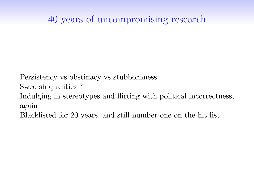Persistency vs obstinacy vs stubbornness

Swedish qualities ?

Indulging in stereotypes and flirting with political incorrectness, again

Blacklisted for 20 years, and still number one on the hit list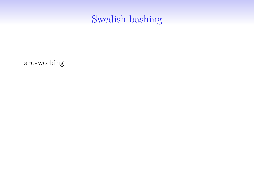hard-working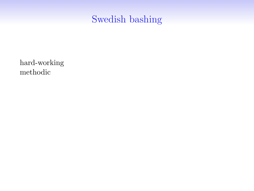hard-working methodic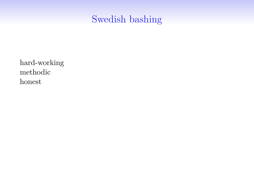hard-working methodic honest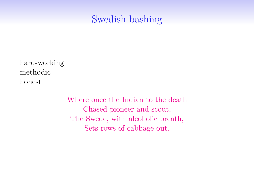hard-working methodic honest

> Where once the Indian to the death Chased pioneer and scout, The Swede, with alcoholic breath, Sets rows of cabbage out.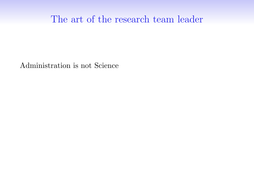Administration is not Science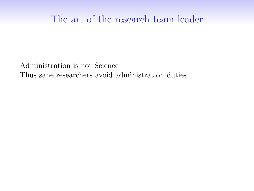Administration is not Science Thus sane researchers avoid administration duties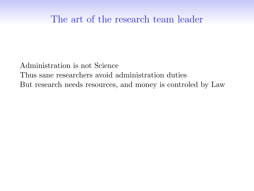Administration is not Science Thus sane researchers avoid administration duties But research needs resources, and money is controled by Law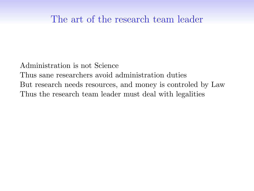Administration is not Science Thus sane researchers avoid administration duties But research needs resources, and money is controled by Law Thus the research team leader must deal with legalities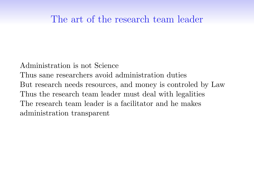Administration is not Science Thus sane researchers avoid administration duties But research needs resources, and money is controled by Law Thus the research team leader must deal with legalities The research team leader is a facilitator and he makes administration transparent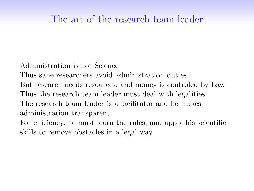Administration is not Science

Thus sane researchers avoid administration duties

But research needs resources, and money is controled by Law

Thus the research team leader must deal with legalities

The research team leader is a facilitator and he makes administration transparent

For efficiency, he must learn the rules, and apply his scientific skills to remove obstacles in a legal way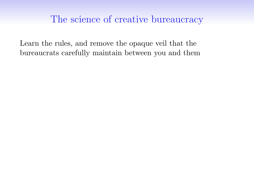Learn the rules, and remove the opaque veil that the bureaucrats carefully maintain between you and them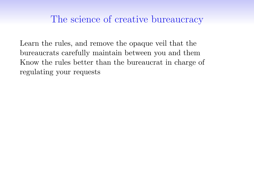Learn the rules, and remove the opaque veil that the bureaucrats carefully maintain between you and them Know the rules better than the bureaucrat in charge of regulating your requests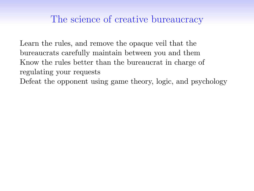Learn the rules, and remove the opaque veil that the bureaucrats carefully maintain between you and them Know the rules better than the bureaucrat in charge of regulating your requests Defeat the opponent using game theory, logic, and psychology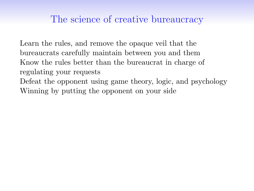Learn the rules, and remove the opaque veil that the bureaucrats carefully maintain between you and them Know the rules better than the bureaucrat in charge of regulating your requests Defeat the opponent using game theory, logic, and psychology Winning by putting the opponent on your side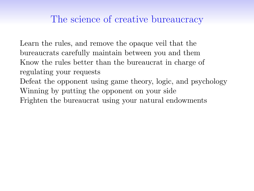Learn the rules, and remove the opaque veil that the bureaucrats carefully maintain between you and them Know the rules better than the bureaucrat in charge of regulating your requests Defeat the opponent using game theory, logic, and psychology Winning by putting the opponent on your side Frighten the bureaucrat using your natural endowments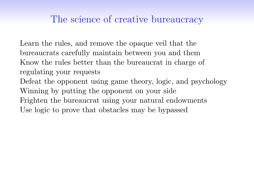Learn the rules, and remove the opaque veil that the bureaucrats carefully maintain between you and them Know the rules better than the bureaucrat in charge of regulating your requests Defeat the opponent using game theory, logic, and psychology Winning by putting the opponent on your side Frighten the bureaucrat using your natural endowments Use logic to prove that obstacles may be bypassed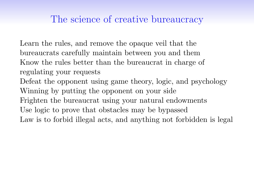Learn the rules, and remove the opaque veil that the bureaucrats carefully maintain between you and them Know the rules better than the bureaucrat in charge of regulating your requests Defeat the opponent using game theory, logic, and psychology Winning by putting the opponent on your side Frighten the bureaucrat using your natural endowments Use logic to prove that obstacles may be bypassed Law is to forbid illegal acts, and anything not forbidden is legal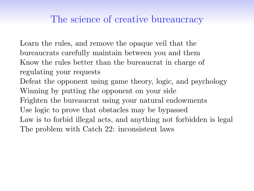Learn the rules, and remove the opaque veil that the bureaucrats carefully maintain between you and them Know the rules better than the bureaucrat in charge of regulating your requests Defeat the opponent using game theory, logic, and psychology Winning by putting the opponent on your side Frighten the bureaucrat using your natural endowments Use logic to prove that obstacles may be bypassed Law is to forbid illegal acts, and anything not forbidden is legal The problem with Catch 22: inconsistent laws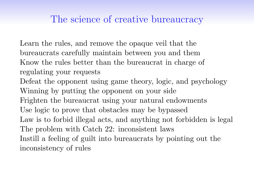Learn the rules, and remove the opaque veil that the bureaucrats carefully maintain between you and them Know the rules better than the bureaucrat in charge of regulating your requests Defeat the opponent using game theory, logic, and psychology Winning by putting the opponent on your side Frighten the bureaucrat using your natural endowments Use logic to prove that obstacles may be bypassed Law is to forbid illegal acts, and anything not forbidden is legal The problem with Catch 22: inconsistent laws Instill a feeling of guilt into bureaucrats by pointing out the inconsistency of rules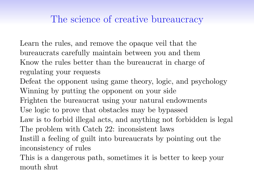Learn the rules, and remove the opaque veil that the bureaucrats carefully maintain between you and them Know the rules better than the bureaucrat in charge of regulating your requests Defeat the opponent using game theory, logic, and psychology Winning by putting the opponent on your side Frighten the bureaucrat using your natural endowments Use logic to prove that obstacles may be bypassed Law is to forbid illegal acts, and anything not forbidden is legal The problem with Catch 22: inconsistent laws Instill a feeling of guilt into bureaucrats by pointing out the inconsistency of rules This is a dangerous path, sometimes it is better to keep your

mouth shut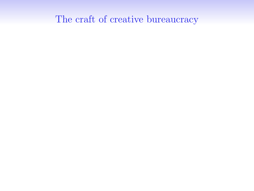# The craft of creative bureaucracy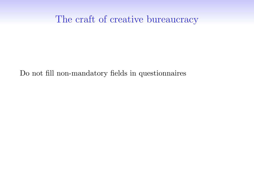## The craft of creative bureaucracy

Do not fill non-mandatory fields in questionnaires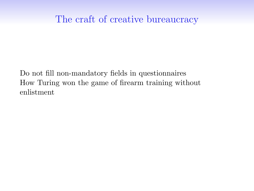Do not fill non-mandatory fields in questionnaires How Turing won the game of firearm training without enlistment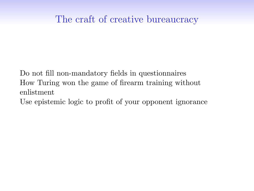Do not fill non-mandatory fields in questionnaires How Turing won the game of firearm training without enlistment

Use epistemic logic to profit of your opponent ignorance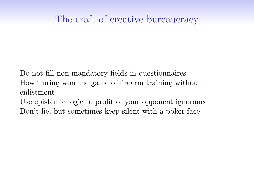Do not fill non-mandatory fields in questionnaires How Turing won the game of firearm training without enlistment

Use epistemic logic to profit of your opponent ignorance Don't lie, but sometimes keep silent with a poker face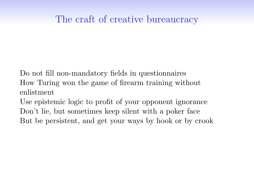Do not fill non-mandatory fields in questionnaires How Turing won the game of firearm training without enlistment

Use epistemic logic to profit of your opponent ignorance Don't lie, but sometimes keep silent with a poker face But be persistent, and get your ways by hook or by crook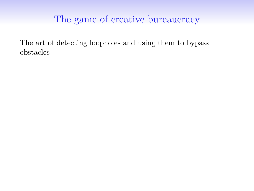The art of detecting loopholes and using them to bypass obstacles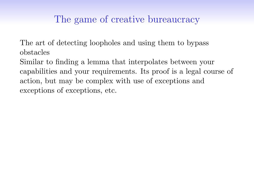The art of detecting loopholes and using them to bypass obstacles

Similar to finding a lemma that interpolates between your capabilities and your requirements. Its proof is a legal course of action, but may be complex with use of exceptions and exceptions of exceptions, etc.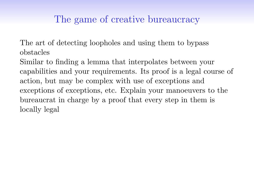The art of detecting loopholes and using them to bypass obstacles

Similar to finding a lemma that interpolates between your capabilities and your requirements. Its proof is a legal course of action, but may be complex with use of exceptions and exceptions of exceptions, etc. Explain your manoeuvers to the bureaucrat in charge by a proof that every step in them is locally legal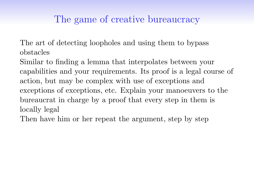The art of detecting loopholes and using them to bypass obstacles

Similar to finding a lemma that interpolates between your capabilities and your requirements. Its proof is a legal course of action, but may be complex with use of exceptions and exceptions of exceptions, etc. Explain your manoeuvers to the bureaucrat in charge by a proof that every step in them is locally legal

Then have him or her repeat the argument, step by step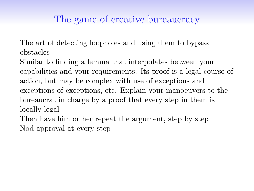The art of detecting loopholes and using them to bypass obstacles

Similar to finding a lemma that interpolates between your capabilities and your requirements. Its proof is a legal course of action, but may be complex with use of exceptions and exceptions of exceptions, etc. Explain your manoeuvers to the bureaucrat in charge by a proof that every step in them is locally legal

Then have him or her repeat the argument, step by step Nod approval at every step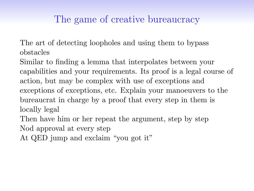The art of detecting loopholes and using them to bypass obstacles

Similar to finding a lemma that interpolates between your capabilities and your requirements. Its proof is a legal course of action, but may be complex with use of exceptions and exceptions of exceptions, etc. Explain your manoeuvers to the bureaucrat in charge by a proof that every step in them is locally legal

Then have him or her repeat the argument, step by step Nod approval at every step

At QED jump and exclaim "you got it"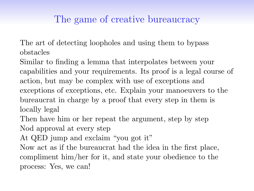The art of detecting loopholes and using them to bypass obstacles

Similar to finding a lemma that interpolates between your capabilities and your requirements. Its proof is a legal course of action, but may be complex with use of exceptions and exceptions of exceptions, etc. Explain your manoeuvers to the bureaucrat in charge by a proof that every step in them is locally legal

Then have him or her repeat the argument, step by step Nod approval at every step

At QED jump and exclaim "you got it"

Now act as if the bureaucrat had the idea in the first place, compliment him/her for it, and state your obedience to the process: Yes, we can!